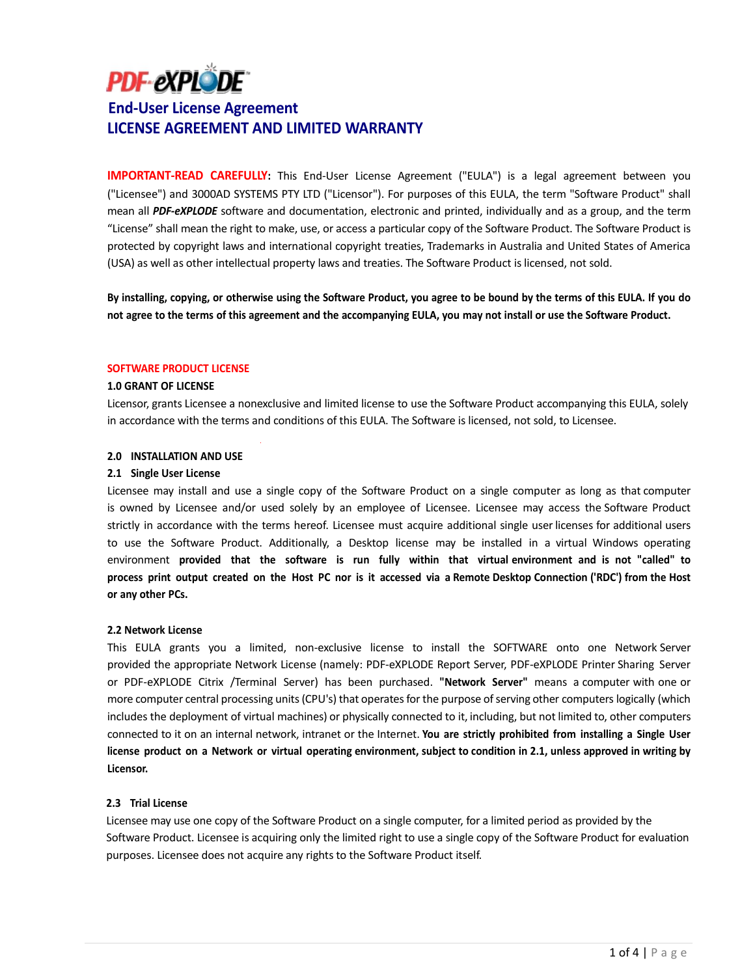# **PDF-eXPLODE**

# **End-User License Agreement LICENSE AGREEMENT AND LIMITED WARRANTY**

**IMPORTANT-READ CAREFULLY:** This End-User License Agreement ("EULA") is a legal agreement between you ("Licensee") and 3000AD SYSTEMS PTY LTD ("Licensor"). For purposes of this EULA, the term "Software Product" shall mean all *PDF-eXPLODE* software and documentation, electronic and printed, individually and as a group, and the term "License" shall mean the right to make, use, or access a particular copy of the Software Product. The Software Product is protected by copyright laws and international copyright treaties, Trademarks in Australia and United States of America (USA) as well as other intellectual property laws and treaties. The Software Product is licensed, not sold.

By installing, copying, or otherwise using the Software Product, you agree to be bound by the terms of this EULA. If you do not agree to the terms of this agreement and the accompanying EULA, you may not install or use the Software Product.

### **SOFTWARE PRODUCT LICENSE**

# **1.0 GRANT OF LICENSE**

Licensor, grants Licensee a nonexclusive and limited license to use the Software Product accompanying this EULA, solely in accordance with the terms and conditions of this EULA. The Software is licensed, not sold, to Licensee.

# **2.0 INSTALLATION AND USE**

### **2.1 Single User License**

Licensee may install and use a single copy of the Software Product on a single computer as long as that computer is owned by Licensee and/or used solely by an employee of Licensee. Licensee may access the Software Product strictly in accordance with the terms hereof. Licensee must acquire additional single user licenses for additional users to use the Software Product. Additionally, a Desktop license may be installed in a virtual Windows operating environment **provided that the software is run fully within that virtual environment and is not "called" to** process print output created on the Host PC nor is it accessed via a Remote Desktop Connection ('RDC') from the Host **or any other PCs.**

### **2.2 Network License**

This EULA grants you a limited, non-exclusive license to install the SOFTWARE onto one Network Server provided the appropriate Network License (namely: PDF-eXPLODE Report Server, PDF-eXPLODE Printer Sharing Server or PDF-eXPLODE Citrix /Terminal Server) has been purchased. **"Network Server"** means a computer with one or more computer central processing units (CPU's) that operates for the purpose of serving other computers logically (which includes the deployment of virtual machines) or physically connected to it, including, but not limited to, other computers connected to it on an internal network, intranet or the Internet. **You are strictly prohibited from installing a Single User** license product on a Network or virtual operating environment, subject to condition in 2.1, unless approved in writing by **Licensor.**

# **2.3 Trial License**

Licensee may use one copy of the Software Product on a single computer, for a limited period as provided by the Software Product. Licensee is acquiring only the limited right to use a single copy of the Software Product for evaluation purposes. Licensee does not acquire any rights to the Software Product itself.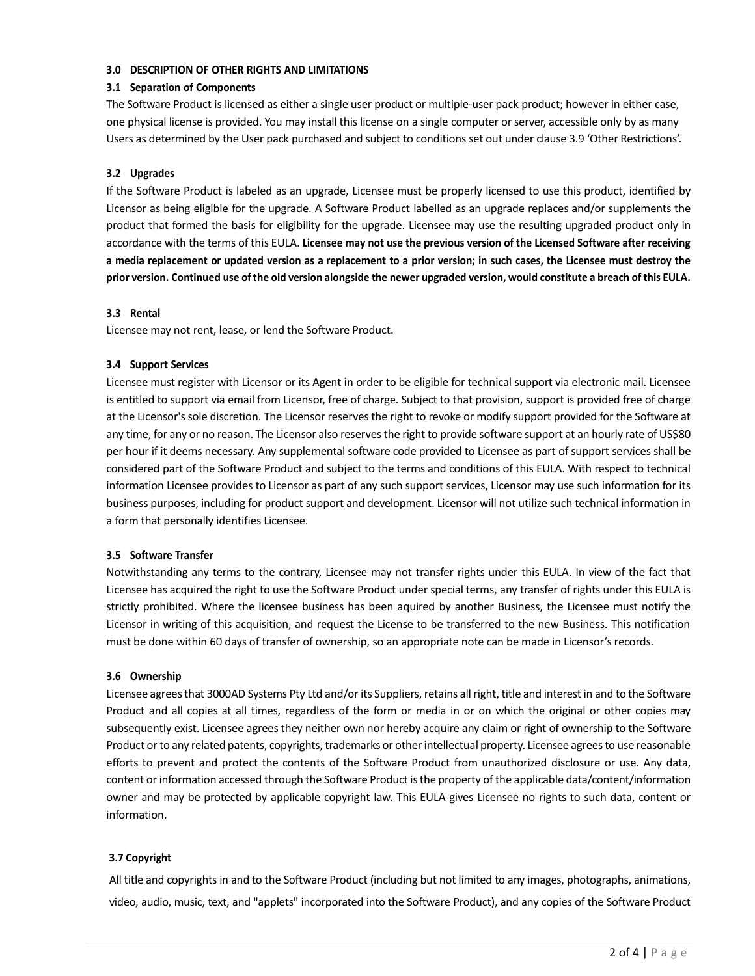# **3.0 DESCRIPTION OF OTHER RIGHTS AND LIMITATIONS**

# **3.1 Separation of Components**

The Software Product is licensed as either a single user product or multiple-user pack product; however in either case, one physical license is provided. You may install this license on a single computer or server, accessible only by as many Users as determined by the User pack purchased and subject to conditions set out under clause 3.9 'Other Restrictions'.

# **3.2 Upgrades**

If the Software Product is labeled as an upgrade, Licensee must be properly licensed to use this product, identified by Licensor as being eligible for the upgrade. A Software Product labelled as an upgrade replaces and/or supplements the product that formed the basis for eligibility for the upgrade. Licensee may use the resulting upgraded product only in accordance with the terms of this EULA. **Licensee may not use the previous version of the Licensed Software after receiving** a media replacement or updated version as a replacement to a prior version; in such cases, the Licensee must destroy the prior version. Continued use of the old version alongside the newer upgraded version, would constitute a breach of this EULA.

### **3.3 Rental**

Licensee may not rent, lease, or lend the Software Product.

# **3.4 Support Services**

Licensee must register with Licensor or its Agent in order to be eligible for technical support via electronic mail. Licensee is entitled to support via email from Licensor, free of charge. Subject to that provision, support is provided free of charge at the Licensor's sole discretion. The Licensor reserves the right to revoke or modify support provided for the Software at any time, for any or no reason. The Licensor also reserves the right to provide software support at an hourly rate of US\$80 per hour if it deems necessary. Any supplemental software code provided to Licensee as part of support services shall be considered part of the Software Product and subject to the terms and conditions of this EULA. With respect to technical information Licensee provides to Licensor as part of any such support services, Licensor may use such information for its business purposes, including for product support and development. Licensor will not utilize such technical information in a form that personally identifies Licensee.

# **3.5 Software Transfer**

Notwithstanding any terms to the contrary, Licensee may not transfer rights under this EULA. In view of the fact that Licensee has acquired the right to use the Software Product under special terms, any transfer of rights under this EULA is strictly prohibited. Where the licensee business has been aquired by another Business, the Licensee must notify the Licensor in writing of this acquisition, and request the License to be transferred to the new Business. This notification must be done within 60 days of transfer of ownership, so an appropriate note can be made in Licensor's records.

### **3.6 Ownership**

Licensee agreesthat 3000AD Systems Pty Ltd and/or its Suppliers, retains all right, title and interest in and to the Software Product and all copies at all times, regardless of the form or media in or on which the original or other copies may subsequently exist. Licensee agrees they neither own nor hereby acquire any claim or right of ownership to the Software Product or to any related patents, copyrights, trademarks or other intellectual property. Licensee agrees to use reasonable efforts to prevent and protect the contents of the Software Product from unauthorized disclosure or use. Any data, content or information accessed through the Software Product isthe property ofthe applicable data/content/information owner and may be protected by applicable copyright law. This EULA gives Licensee no rights to such data, content or information.

# **3.7 Copyright**

All title and copyrights in and to the Software Product (including but not limited to any images, photographs, animations, video, audio, music, text, and "applets" incorporated into the Software Product), and any copies of the Software Product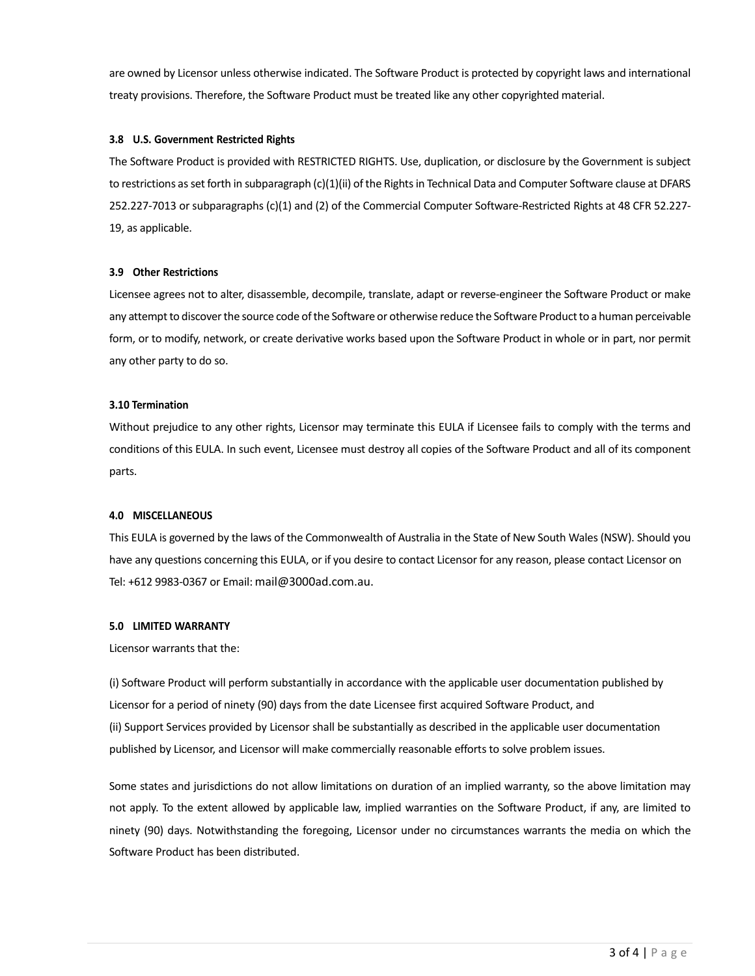are owned by Licensor unless otherwise indicated. The Software Product is protected by copyright laws and international treaty provisions. Therefore, the Software Product must be treated like any other copyrighted material.

# **3.8 U.S. Government Restricted Rights**

The Software Product is provided with RESTRICTED RIGHTS. Use, duplication, or disclosure by the Government is subject to restrictions as set forth in subparagraph (c)(1)(ii) of the Rights in Technical Data and Computer Software clause at DFARS 252.227-7013 or subparagraphs (c)(1) and (2) of the Commercial Computer Software-Restricted Rights at 48 CFR 52.227- 19, as applicable.

# **3.9 Other Restrictions**

Licensee agrees not to alter, disassemble, decompile, translate, adapt or reverse-engineer the Software Product or make any attempt to discover the source code of the Software or otherwise reduce the Software Product to a human perceivable form, or to modify, network, or create derivative works based upon the Software Product in whole or in part, nor permit any other party to do so.

### **3.10 Termination**

Without prejudice to any other rights, Licensor may terminate this EULA if Licensee fails to comply with the terms and conditions of this EULA. In such event, Licensee must destroy all copies of the Software Product and all of its component parts.

# **4.0 MISCELLANEOUS**

This EULA is governed by the laws of the Commonwealth of Australia in the State of New South Wales (NSW). Should you have any questions concerning this EULA, or if you desire to contact Licensor for any reason, please contact Licensor on Tel: +612 9983-0367 or Email: [mail@3000ad.com.au.](mailto:mail@3000ad.com.au)

### **5.0 LIMITED WARRANTY**

### Licensor warrants that the:

(i) Software Product will perform substantially in accordance with the applicable user documentation published by Licensor for a period of ninety (90) days from the date Licensee first acquired Software Product, and (ii) Support Services provided by Licensor shall be substantially as described in the applicable user documentation published by Licensor, and Licensor will make commercially reasonable efforts to solve problem issues.

Some states and jurisdictions do not allow limitations on duration of an implied warranty, so the above limitation may not apply. To the extent allowed by applicable law, implied warranties on the Software Product, if any, are limited to ninety (90) days. Notwithstanding the foregoing, Licensor under no circumstances warrants the media on which the Software Product has been distributed.